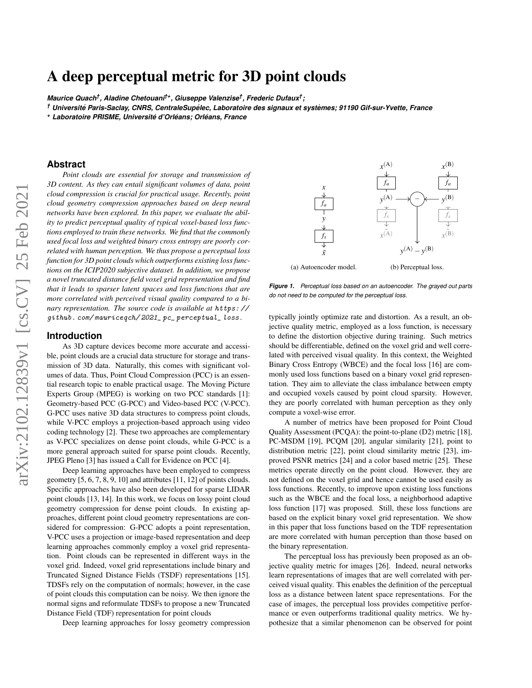# A deep perceptual metric for 3D point clouds

*Maurice Quach† , Aladine Chetouani†+, Giuseppe Valenzise† , Frederic Dufaux† ;*

<sup>†</sup> Université Paris-Saclay, CNRS, CentraleSupélec, Laboratoire des signaux et systèmes; 91190 Gif-sur-Yvette, France

*<sup>+</sup> Laboratoire PRISME, Universite d'Orl ´ eans; Orl ´ eans, France ´*

## **Abstract**

*Point clouds are essential for storage and transmission of 3D content. As they can entail significant volumes of data, point cloud compression is crucial for practical usage. Recently, point cloud geometry compression approaches based on deep neural networks have been explored. In this paper, we evaluate the ability to predict perceptual quality of typical voxel-based loss functions employed to train these networks. We find that the commonly used focal loss and weighted binary cross entropy are poorly correlated with human perception. We thus propose a perceptual loss function for 3D point clouds which outperforms existing loss functions on the ICIP2020 subjective dataset. In addition, we propose a novel truncated distance field voxel grid representation and find that it leads to sparser latent spaces and loss functions that are more correlated with perceived visual quality compared to a binary representation. The source code is available at* [https: //](https://github.com/mauriceqch/2021_pc_perceptual_loss) [github. com/ mauriceqch/ 2021\\_ pc\\_ perceptual\\_ loss](https://github.com/mauriceqch/2021_pc_perceptual_loss) *.*

## **Introduction**

As 3D capture devices become more accurate and accessible, point clouds are a crucial data structure for storage and transmission of 3D data. Naturally, this comes with significant volumes of data. Thus, Point Cloud Compression (PCC) is an essential research topic to enable practical usage. The Moving Picture Experts Group (MPEG) is working on two PCC standards [\[1\]](#page-5-0): Geometry-based PCC (G-PCC) and Video-based PCC (V-PCC). G-PCC uses native 3D data structures to compress point clouds, while V-PCC employs a projection-based approach using video coding technology [\[2\]](#page-5-1). These two approaches are complementary as V-PCC specializes on dense point clouds, while G-PCC is a more general approach suited for sparse point clouds. Recently, JPEG Pleno [\[3\]](#page-5-2) has issued a Call for Evidence on PCC [\[4\]](#page-5-3).

Deep learning approaches have been employed to compress geometry  $[5, 6, 7, 8, 9, 10]$  $[5, 6, 7, 8, 9, 10]$  $[5, 6, 7, 8, 9, 10]$  $[5, 6, 7, 8, 9, 10]$  $[5, 6, 7, 8, 9, 10]$  $[5, 6, 7, 8, 9, 10]$  and attributes  $[11, 12]$  $[11, 12]$  of points clouds. Specific approaches have also been developed for sparse LIDAR point clouds [\[13,](#page-5-12) [14\]](#page-5-13). In this work, we focus on lossy point cloud geometry compression for dense point clouds. In existing approaches, different point cloud geometry representations are considered for compression: G-PCC adopts a point representation, V-PCC uses a projection or image-based representation and deep learning approaches commonly employ a voxel grid representation. Point clouds can be represented in different ways in the voxel grid. Indeed, voxel grid representations include binary and Truncated Signed Distance Fields (TSDF) representations [\[15\]](#page-5-14). TDSFs rely on the computation of normals; however, in the case of point clouds this computation can be noisy. We then ignore the normal signs and reformulate TDSFs to propose a new Truncated Distance Field (TDF) representation for point clouds

Deep learning approaches for lossy geometry compression

<span id="page-0-0"></span>*x fa fs x*˜ *y* (a) Autoencoder model. *x* (A) *fa*  $\frac{f_s}{\downarrow}$  $\chi$ (A) *y* (A) *x* (B) *fa fs*  $\chi$ (B)  $v^{(B)}$  $y^{(A)} - y^{(B)}$ (b) Perceptual loss.

*Figure 1. Perceptual loss based on an autoencoder. The grayed out parts do not need to be computed for the perceptual loss.*

typically jointly optimize rate and distortion. As a result, an objective quality metric, employed as a loss function, is necessary to define the distortion objective during training. Such metrics should be differentiable, defined on the voxel grid and well correlated with perceived visual quality. In this context, the Weighted Binary Cross Entropy (WBCE) and the focal loss [\[16\]](#page-5-15) are commonly used loss functions based on a binary voxel grid representation. They aim to alleviate the class imbalance between empty and occupied voxels caused by point cloud sparsity. However, they are poorly correlated with human perception as they only compute a voxel-wise error.

A number of metrics have been proposed for Point Cloud Quality Assessment (PCQA): the point-to-plane (D2) metric [\[18\]](#page-5-16), PC-MSDM [\[19\]](#page-5-17), PCQM [\[20\]](#page-5-18), angular similarity [\[21\]](#page-5-19), point to distribution metric [\[22\]](#page-5-20), point cloud similarity metric [\[23\]](#page-5-21), improved PSNR metrics [\[24\]](#page-5-22) and a color based metric [\[25\]](#page-5-23). These metrics operate directly on the point cloud. However, they are not defined on the voxel grid and hence cannot be used easily as loss functions. Recently, to improve upon existing loss functions such as the WBCE and the focal loss, a neighborhood adaptive loss function [\[17\]](#page-5-24) was proposed. Still, these loss functions are based on the explicit binary voxel grid representation. We show in this paper that loss functions based on the TDF representation are more correlated with human perception than those based on the binary representation.

The perceptual loss has previously been proposed as an objective quality metric for images [\[26\]](#page-5-25). Indeed, neural networks learn representations of images that are well correlated with perceived visual quality. This enables the definition of the perceptual loss as a distance between latent space representations. For the case of images, the perceptual loss provides competitive performance or even outperforms traditional quality metrics. We hypothesize that a similar phenomenon can be observed for point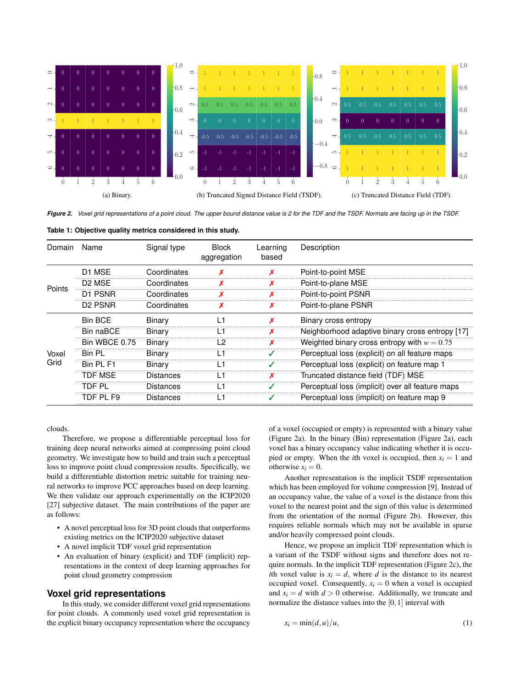<span id="page-1-1"></span>

*Figure 2. Voxel grid representations of a point cloud. The upper bound distance value is 2 for the TDF and the TSDF. Normals are facing up in the TSDF.*

<span id="page-1-0"></span>**Table [1:](#page-1-0) Objective quality metrics considered in this study.**

| Domain        | Name                            | Signal type      | <b>Block</b><br>aggregation | Learning<br>based | Description                                      |
|---------------|---------------------------------|------------------|-----------------------------|-------------------|--------------------------------------------------|
| Points        | D1 MSE                          | Coordinates      |                             |                   | Point-to-point MSE                               |
|               | D <sub>2</sub> M <sub>SF</sub>  | Coordinates      |                             |                   | Point-to-plane MSE                               |
|               | D1 PSNR                         | Coordinates      |                             |                   | Point-to-point PSNR                              |
|               | D <sub>2</sub> PSN <sub>R</sub> | Coordinates      | х                           | Х                 | Point-to-plane PSNR                              |
| Voxel<br>Grid | <b>Bin BCE</b>                  | Binary           | l 1                         |                   | Binary cross entropy                             |
|               | <b>Bin naBCF</b>                | Binary           | L1                          |                   | Neighborhood adaptive binary cross entropy [17]  |
|               | Bin WBCE 0.75                   | Binary           | 12                          |                   | Weighted binary cross entropy with $w = 0.75$    |
|               | Bin Pl                          | Binary           | l 1                         |                   | Perceptual loss (explicit) on all feature maps   |
|               | Bin PI F1                       | Binary           | l 1                         |                   | Perceptual loss (explicit) on feature map 1      |
|               | TDF MSF                         | <b>Distances</b> |                             |                   | Truncated distance field (TDF) MSE               |
|               | TDF PL                          | <b>Distances</b> | l 1                         |                   | Perceptual loss (implicit) over all feature maps |
|               | TDF PL F9                       | Distances        |                             |                   | Perceptual loss (implicit) on feature map 9      |

clouds.

Therefore, we propose a differentiable perceptual loss for training deep neural networks aimed at compressing point cloud geometry. We investigate how to build and train such a perceptual loss to improve point cloud compression results. Specifically, we build a differentiable distortion metric suitable for training neural networks to improve PCC approaches based on deep learning. We then validate our approach experimentally on the ICIP2020 [\[27\]](#page-5-26) subjective dataset. The main contributions of the paper are as follows:

- A novel perceptual loss for 3D point clouds that outperforms existing metrics on the ICIP2020 subjective dataset
- A novel implicit TDF voxel grid representation
- An evaluation of binary (explicit) and TDF (implicit) representations in the context of deep learning approaches for point cloud geometry compression

# **Voxel grid representations**

In this study, we consider different voxel grid representations for point clouds. A commonly used voxel grid representation is the explicit binary occupancy representation where the occupancy

of a voxel (occupied or empty) is represented with a binary value (Figure [2a\)](#page-1-1). In the binary (Bin) representation (Figure [2a\)](#page-1-1), each voxel has a binary occupancy value indicating whether it is occupied or empty. When the *i*th voxel is occupied, then  $x_i = 1$  and otherwise  $x_i = 0$ .

Another representation is the implicit TSDF representation which has been employed for volume compression [\[9\]](#page-5-8). Instead of an occupancy value, the value of a voxel is the distance from this voxel to the nearest point and the sign of this value is determined from the orientation of the normal (Figure [2b\)](#page-1-1). However, this requires reliable normals which may not be available in sparse and/or heavily compressed point clouds.

Hence, we propose an implicit TDF representation which is a variant of the TSDF without signs and therefore does not require normals. In the implicit TDF representation (Figure [2c\)](#page-1-1), the *i*th voxel value is  $x_i = d$ , where *d* is the distance to its nearest occupied voxel. Consequently,  $x_i = 0$  when a voxel is occupied and  $x_i = d$  with  $d > 0$  otherwise. Additionally, we truncate and normalize the distance values into the [0,1] interval with

<span id="page-1-2"></span>
$$
x_i = \min(d, u)/u,\tag{1}
$$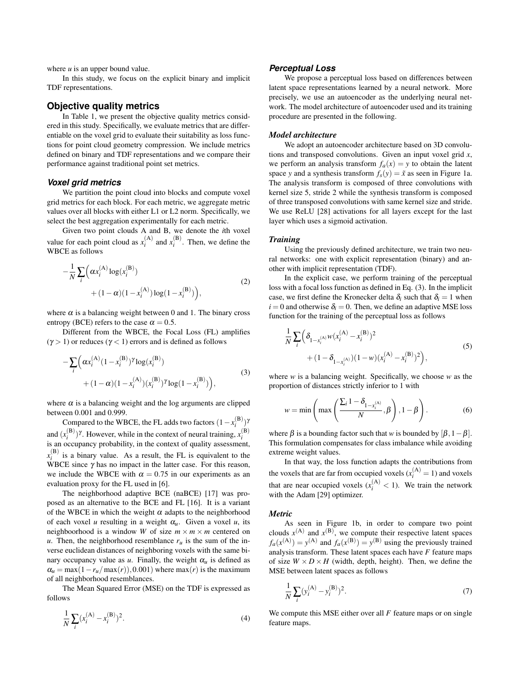where *u* is an upper bound value.

In this study, we focus on the explicit binary and implicit TDF representations.

# **Objective quality metrics**

In Table [1,](#page-1-0) we present the objective quality metrics considered in this study. Specifically, we evaluate metrics that are differentiable on the voxel grid to evaluate their suitability as loss functions for point cloud geometry compression. We include metrics defined on binary and TDF representations and we compare their performance against traditional point set metrics.

#### *Voxel grid metrics*

We partition the point cloud into blocks and compute voxel grid metrics for each block. For each metric, we aggregate metric values over all blocks with either L1 or L2 norm. Specifically, we select the best aggregation experimentally for each metric.

Given two point clouds A and B, we denote the *i*th voxel value for each point cloud as  $x_i^{(A)}$  and  $x_i^{(B)}$ . Then, we define the WBCE as follows

$$
-\frac{1}{N} \sum_{i} \left( \alpha x_i^{(A)} \log(x_i^{(B)}) + (1 - \alpha)(1 - x_i^{(A)}) \log(1 - x_i^{(B)}) \right),\tag{2}
$$

where  $\alpha$  is a balancing weight between 0 and 1. The binary cross entropy (BCE) refers to the case  $\alpha = 0.5$ .

Different from the WBCE, the Focal Loss (FL) amplifies  $(\gamma > 1)$  or reduces  $(\gamma < 1)$  errors and is defined as follows

$$
-\sum_{i} \left( \alpha x_i^{(A)} (1 - x_i^{(B)})^{\gamma} \log(x_i^{(B)}) + (1 - \alpha)(1 - x_i^{(A)}) (x_i^{(B)})^{\gamma} \log(1 - x_i^{(B)}) \right),\tag{3}
$$

where  $\alpha$  is a balancing weight and the log arguments are clipped between 0.001 and 0.999.

Compared to the WBCE, the FL adds two factors  $(1 - x_i^{(\text{B})})^{\gamma}$ and  $(x_i^{(B)})^{\gamma}$ . However, while in the context of neural training,  $x_i^{(B)}$  is an occupancy probability, in the context of quality assessment,  $x_i^{(B)}$  is a binary value. As a result, the FL is equivalent to the WBCE since  $\gamma$  has no impact in the latter case. For this reason, we include the WBCE with  $\alpha = 0.75$  in our experiments as an evaluation proxy for the FL used in [\[6\]](#page-5-5).

The neighborhood adaptive BCE (naBCE) [\[17\]](#page-5-24) was proposed as an alternative to the BCE and FL [\[16\]](#page-5-15). It is a variant of the WBCE in which the weight  $\alpha$  adapts to the neighborhood of each voxel *u* resulting in a weight  $\alpha_u$ . Given a voxel *u*, its neighboorhood is a window *W* of size  $m \times m \times m$  centered on *u*. Then, the neighborhood resemblance  $r<sub>u</sub>$  is the sum of the inverse euclidean distances of neighboring voxels with the same binary occupancy value as  $u$ . Finally, the weight  $\alpha_u$  is defined as  $\alpha_u = \max(1 - r_u/\max(r))$ ,0.001) where  $\max(r)$  is the maximum of all neighborhood resemblances.

The Mean Squared Error (MSE) on the TDF is expressed as follows

$$
\frac{1}{N} \sum_{i} (x_i^{(A)} - x_i^{(B)})^2.
$$
 (4)

#### *Perceptual Loss*

We propose a perceptual loss based on differences between latent space representations learned by a neural network. More precisely, we use an autoencoder as the underlying neural network. The model architecture of autoencoder used and its training procedure are presented in the following.

#### *Model architecture*

We adopt an autoencoder architecture based on 3D convolutions and transposed convolutions. Given an input voxel grid *x*, we perform an analysis transform  $f_a(x) = y$  to obtain the latent space *y* and a synthesis transform  $f_s(y) = \tilde{x}$  as seen in Figure [1a.](#page-0-0) The analysis transform is composed of three convolutions with kernel size 5, stride 2 while the synthesis transform is composed of three transposed convolutions with same kernel size and stride. We use ReLU [\[28\]](#page-5-27) activations for all layers except for the last layer which uses a sigmoid activation.

#### *Training*

Using the previously defined architecture, we train two neural networks: one with explicit representation (binary) and another with implicit representation (TDF).

In the explicit case, we perform training of the perceptual loss with a focal loss function as defined in Eq. [\(3\)](#page-2-0). In the implicit case, we first define the Kronecker delta  $\delta_i$  such that  $\delta_i = 1$  when  $i = 0$  and otherwise  $\delta_i = 0$ . Then, we define an adaptive MSE loss function for the training of the perceptual loss as follows

$$
\frac{1}{N} \sum_{i} \left( \delta_{1-x_i^{(A)}} w(x_i^{(A)} - x_i^{(B)})^2 + (1 - \delta_{1-x_i^{(A)}})(1 - w)(x_i^{(A)} - x_i^{(B)})^2 \right),
$$
\n(5)

<span id="page-2-0"></span>where *w* is a balancing weight. Specifically, we choose *w* as the proportion of distances strictly inferior to 1 with

$$
w = \min\left(\max\left(\frac{\sum_{i} 1 - \delta_{1-x_i^{(A)}}}{N}, \beta\right), 1 - \beta\right).
$$
 (6)

where  $\beta$  is a bounding factor such that *w* is bounded by  $[\beta, 1-\beta]$ . This formulation compensates for class imbalance while avoiding extreme weight values.

In that way, the loss function adapts the contributions from the voxels that are far from occupied voxels  $(x_i^{(A)} = 1)$  and voxels that are near occupied voxels  $(x_i^{(A)} < 1)$ . We train the network with the Adam [\[29\]](#page-5-28) optimizer.

#### *Metric*

As seen in Figure [1b,](#page-0-0) in order to compare two point clouds  $x^{(A)}$  and  $x^{(B)}$ , we compute their respective latent spaces  $f_a(x^{(A)}) = y^{(A)}$  and  $f_a(x^{(B)}) = y^{(B)}$  using the previously trained analysis transform. These latent spaces each have *F* feature maps of size  $W \times D \times H$  (width, depth, height). Then, we define the MSE between latent spaces as follows

$$
\frac{1}{N} \sum_{i} (y_i^{(A)} - y_i^{(B)})^2.
$$
 (7)

We compute this MSE either over all *F* feature maps or on single feature maps.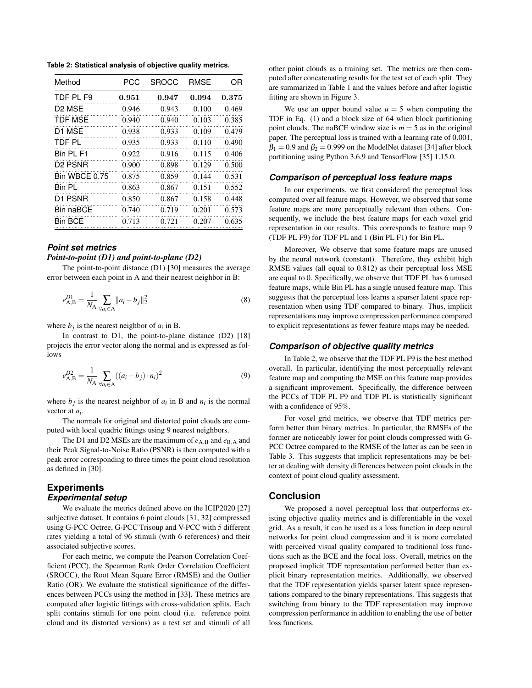<span id="page-3-0"></span>**Table [2:](#page-3-0) Statistical analysis of objective quality metrics.**

| Method                         | PCC   | SROCC | <b>RMSE</b> | OR    |  |
|--------------------------------|-------|-------|-------------|-------|--|
| TDF PL F9                      | 0.951 | 0.947 | 0.094       | 0.375 |  |
| D <sub>2</sub> M <sub>SE</sub> | 0.946 | 0.943 | 0.100       | 0.469 |  |
| TDF MSF                        | 0.940 | 0.940 | 0.103       | 0.385 |  |
| D1 MSE                         | 0.938 | 0.933 | 0.109       | 0.479 |  |
| TDF PL                         | 0.935 | 0.933 | 0.110       | 0.490 |  |
| Rin PI F1                      | 0.922 | 0.916 | 0.115       | 0.406 |  |
| D <sub>2</sub> PSNR            | 0.900 | 0.898 | 0.129       | 0.500 |  |
| Bin WBCE 0.75                  | 0.875 | 0.859 | 0.144       | 0.531 |  |
| Bin Pl                         | 0.863 | 0.867 | 0.151       | 0.552 |  |
| D <sub>1</sub> PSNR            | 0.850 | 0.867 | 0.158       | 0.448 |  |
| Bin naBCE                      | 0.740 | 0.719 | 0.201       | 0.573 |  |
| <b>Bin BCE</b>                 | 0.713 | 0.721 | 0.207       | 0.635 |  |

## *Point set metrics*

#### *Point-to-point (D1) and point-to-plane (D2)*

The point-to-point distance (D1) [\[30\]](#page-5-29) measures the average error between each point in A and their nearest neighbor in B:

$$
e_{\text{A},\text{B}}^{D1} = \frac{1}{N_{\text{A}}} \sum_{\forall a_i \in \text{A}} ||a_i - b_j||_2^2
$$
 (8)

where  $b_j$  is the nearest neighbor of  $a_i$  in B.

In contrast to D1, the point-to-plane distance (D2) [\[18\]](#page-5-16) projects the error vector along the normal and is expressed as follows

$$
e_{\text{A},\text{B}}^{D2} = \frac{1}{N_{\text{A}}} \sum_{\forall a_i \in \text{A}} ((a_i - b_j) \cdot n_i)^2
$$
 (9)

where  $b_j$  is the nearest neighbor of  $a_i$  in B and  $n_i$  is the normal vector at *ai* .

The normals for original and distorted point clouds are computed with local quadric fittings using 9 nearest neighbors.

The D1 and D2 MSEs are the maximum of  $e_{A,B}$  and  $e_{B,A}$  and their Peak Signal-to-Noise Ratio (PSNR) is then computed with a peak error corresponding to three times the point cloud resolution as defined in [\[30\]](#page-5-29).

# **Experiments** *Experimental setup*

We evaluate the metrics defined above on the ICIP2020 [\[27\]](#page-5-26) subjective dataset. It contains 6 point clouds [\[31,](#page-5-30) [32\]](#page-5-31) compressed using G-PCC Octree, G-PCC Trisoup and V-PCC with 5 different rates yielding a total of 96 stimuli (with 6 references) and their associated subjective scores.

For each metric, we compute the Pearson Correlation Coefficient (PCC), the Spearman Rank Order Correlation Coefficient (SROCC), the Root Mean Square Error (RMSE) and the Outlier Ratio (OR). We evaluate the statistical significance of the differences between PCCs using the method in [\[33\]](#page-5-32). These metrics are computed after logistic fittings with cross-validation splits. Each split contains stimuli for one point cloud (i.e. reference point cloud and its distorted versions) as a test set and stimuli of all

other point clouds as a training set. The metrics are then computed after concatenating results for the test set of each split. They are summarized in Table [1](#page-1-0) and the values before and after logistic fitting are shown in Figure [3.](#page-4-0)

We use an upper bound value  $u = 5$  when computing the TDF in Eq. [\(1\)](#page-1-2) and a block size of 64 when block partitioning point clouds. The naBCE window size is  $m = 5$  as in the original paper. The perceptual loss is trained with a learning rate of 0.001,  $\beta_1 = 0.9$  and  $\beta_2 = 0.999$  on the ModelNet dataset [\[34\]](#page-5-33) after block partitioning using Python 3.6.9 and TensorFlow [\[35\]](#page-5-34) 1.15.0.

## *Comparison of perceptual loss feature maps*

In our experiments, we first considered the perceptual loss computed over all feature maps. However, we observed that some feature maps are more perceptually relevant than others. Consequently, we include the best feature maps for each voxel grid representation in our results. This corresponds to feature map 9 (TDF PL F9) for TDF PL and 1 (Bin PL F1) for Bin PL.

Moreover, We observe that some feature maps are unused by the neural network (constant). Therefore, they exhibit high RMSE values (all equal to 0.812) as their perceptual loss MSE are equal to 0. Specifically, we observe that TDF PL has 6 unused feature maps, while Bin PL has a single unused feature map. This suggests that the perceptual loss learns a sparser latent space representation when using TDF compared to binary. Thus, implicit representations may improve compression performance compared to explicit representations as fewer feature maps may be needed.

#### *Comparison of objective quality metrics*

In Table [2,](#page-3-0) we observe that the TDF PL F9 is the best method overall. In particular, identifying the most perceptually relevant feature map and computing the MSE on this feature map provides a significant improvement. Specifically, the difference between the PCCs of TDF PL F9 and TDF PL is statistically significant with a confidence of 95%.

For voxel grid metrics, we observe that TDF metrics perform better than binary metrics. In particular, the RMSEs of the former are noticeably lower for point clouds compressed with G-PCC Octree compared to the RMSE of the latter as can be seen in Table [3.](#page-4-1) This suggests that implicit representations may be better at dealing with density differences between point clouds in the context of point cloud quality assessment.

## **Conclusion**

We proposed a novel perceptual loss that outperforms existing objective quality metrics and is differentiable in the voxel grid. As a result, it can be used as a loss function in deep neural networks for point cloud compression and it is more correlated with perceived visual quality compared to traditional loss functions such as the BCE and the focal loss. Overall, metrics on the proposed implicit TDF representation performed better than explicit binary representation metrics. Additionally, we observed that the TDF representation yields sparser latent space representations compared to the binary representations. This suggests that switching from binary to the TDF representation may improve compression performance in addition to enabling the use of better loss functions.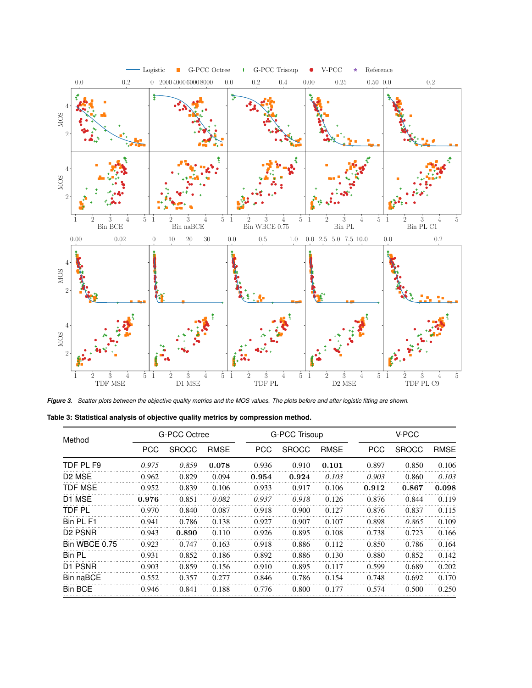<span id="page-4-0"></span>

*Figure 3. Scatter plots between the objective quality metrics and the MOS values. The plots before and after logistic fitting are shown.*

<span id="page-4-1"></span>

| Method                          | G-PCC Octree |              |             |            | G-PCC Trisoup |             |            | V-PCC        |             |  |
|---------------------------------|--------------|--------------|-------------|------------|---------------|-------------|------------|--------------|-------------|--|
|                                 | <b>PCC</b>   | <b>SROCC</b> | <b>RMSE</b> | <b>PCC</b> | <b>SROCC</b>  | <b>RMSE</b> | <b>PCC</b> | <b>SROCC</b> | <b>RMSE</b> |  |
| TDF PL F9                       | 0.975        | 0.859        | 0.078       | 0.936      | 0.910         | 0.101       | 0.897      | 0.850        | 0.106       |  |
| D <sub>2</sub> M <sub>SE</sub>  | 0.962        | 0.829        | 0.094       | 0.954      | 0.924         | 0.103       | 0.903      | 0.860        | 0.103       |  |
| TDF MSE                         | 0.952        | 0.839        | 0.106       | 0.933      | 0.917         | 0.106       | 0.912      | 0.867        | 0.098       |  |
| D <sub>1</sub> M <sub>SE</sub>  | 0.976        | 0.851        | 0.082       | 0.937      | 0.918         | 0.126       | 0.876      | 0.844        | 0.119       |  |
| TDF PL                          | 0.970        | 0.840        | 0.087       | 0.918      | 0.900         | 0.127       | 0.876      | 0.837        | 0.115       |  |
| Bin PI F1                       | 0.941        | 0.786        | 0.138       | 0.927      | 0.907         | 0.107       | 0.898      | 0.865        | 0.109       |  |
| D <sub>2</sub> PSN <sub>R</sub> | 0.943        | 0.890        | 0.110       | 0.926      | 0.895         | 0.108       | 0.738      | 0.723        | 0.166       |  |
| Bin WBCE 0.75                   | 0.923        | 0.747        | 0.163       | 0.918      | 0.886         | 0.112       | 0.850      | 0.786        | 0.164       |  |
| <b>Bin PL</b>                   | 0.931        | 0.852        | 0.186       | 0.892      | 0.886         | 0.130       | 0.880      | 0.852        | 0.142       |  |
| D1 PSNR                         | 0.903        | 0.859        | 0.156       | 0.910      | 0.895         | 0.117       | 0.599      | 0.689        | 0.202       |  |
| Bin naBCE                       | 0.552        | 0.357        | 0.277       | 0.846      | 0.786         | 0.154       | 0.748      | 0.692        | 0.170       |  |
| <b>Bin BCE</b>                  | 0.946        | 0.841        | 0.188       | 0.776      | 0.800         | 0.177       | 0.574      | 0.500        | 0.250       |  |